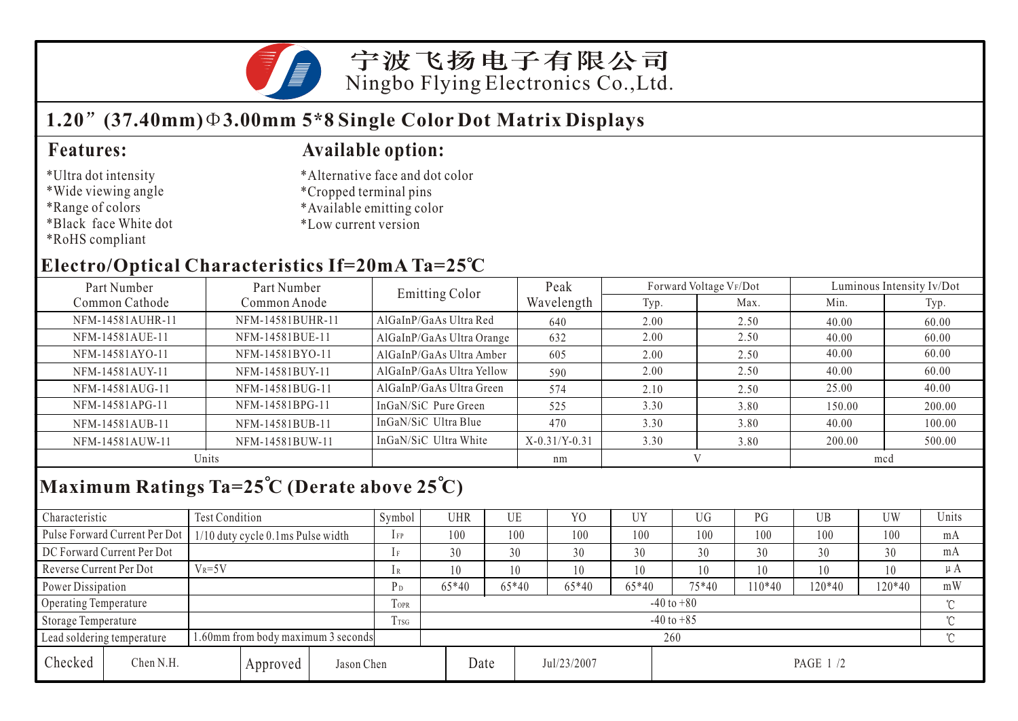

### **1.20 (37.40mm) 3.00mm 5\*8 Single Color Dot Matrix Displays**

#### \*Ultra dot intensity

- \*Wide viewing angle
- \*Range of colors
- \*Black face White dot
- \*RoHS compliant

#### **Features: Available option:**

- \*Alternative face and dot color
- \*Cropped terminal pins
- \*Available emitting color
- \*Low current version

### **Electro/Optical Characteristics If=20mA Ta=25 C**

| Part Number<br>Part Number |                  | <b>Emitting Color</b>     | Peak            |      | Forward Voltage VF/Dot | Luminous Intensity Iv/Dot |        |  |
|----------------------------|------------------|---------------------------|-----------------|------|------------------------|---------------------------|--------|--|
| Common Cathode             | Common Anode     |                           | Wavelength      | Typ. | Max.                   | Min.                      | Typ.   |  |
| NFM-14581AUHR-11           | NFM-14581BUHR-11 | AlGaInP/GaAs Ultra Red    | 640             | 2.00 | 2.50                   | 40.00                     | 60.00  |  |
| NFM-14581AUE-11            | NFM-14581BUE-11  | AlGaInP/GaAs Ultra Orange | 632             | 2.00 | 2.50                   | 40.00                     | 60.00  |  |
| NFM-14581AYO-11            | NFM-14581BYO-11  | AlGaInP/GaAs Ultra Amber  | 605             | 2.00 | 2.50                   | 40.00                     | 60.00  |  |
| NFM-14581AUY-11            | NFM-14581BUY-11  | AlGaInP/GaAs Ultra Yellow | 590             | 2.00 | 2.50                   | 40.00                     | 60.00  |  |
| NFM-14581AUG-11            | NFM-14581BUG-11  | AlGaInP/GaAs Ultra Green  | 574             | 2.10 | 2.50                   | 25.00                     | 40.00  |  |
| NFM-14581APG-11            | NFM-14581BPG-11  | InGaN/SiC Pure Green      | 525             | 3.30 | 3.80                   | 150.00                    | 200.00 |  |
| NFM-14581AUB-11            | NFM-14581BUB-11  | InGaN/SiC Ultra Blue      | 470             | 3.30 | 3.80                   | 40.00                     | 100.00 |  |
| NFM-14581AUW-11            | NFM-14581BUW-11  | InGaN/SiC Ultra White     | $X-0.31/Y-0.31$ | 3.30 | 3.80                   | 200.00                    | 500.00 |  |
| Units                      |                  |                           | nm              |      |                        | mcd                       |        |  |

# **Maximum Ratings Ta=25 C (Derate above 25 C)**

| Characteristic                                                  |                               | Test Condition                    |                |                | Symbol         | UHR     |         | UE      | Y <sub>0</sub> | UY      | UG       | PG       | UB       | UW  | Units   |
|-----------------------------------------------------------------|-------------------------------|-----------------------------------|----------------|----------------|----------------|---------|---------|---------|----------------|---------|----------|----------|----------|-----|---------|
|                                                                 | Pulse Forward Current Per Dot | 1/10 duty cycle 0.1ms Pulse width |                |                | $1$ FP         | 100     |         | 100     | 100            | 100     | 100      | 100      | 100      | 100 | mA      |
| DC Forward Current Per Dot                                      |                               |                                   |                | 1F             | 30             |         | 30      | 30      | 30             | 30      | 30       | 30       | 30       | mA  |         |
| Reverse Current Per Dot                                         |                               | $V_R = 5V$                        |                |                | 1R             | 10      |         | 10      | 10             | 10      | 10       | 10       | 10       | 10  | $\mu A$ |
| Power Dissipation                                               |                               |                                   | P <sub>D</sub> | $65*40$        |                | $65*40$ | $65*40$ | $65*40$ | $75*40$        | $10*40$ | $120*40$ | 120*40   | mW       |     |         |
| Operating Temperature                                           |                               |                                   | TOPR           |                | $-40$ to $+80$ |         |         |         |                |         |          |          |          |     |         |
| Storage Temperature                                             |                               |                                   | Trsg           | $-40$ to $+85$ |                |         |         |         |                |         |          |          | $\gamma$ |     |         |
| .60mm from body maximum 3 seconds<br>Lead soldering temperature |                               |                                   |                | 260            |                |         |         |         |                |         |          |          |          |     |         |
| Checked                                                         | Chen N.H.                     |                                   | Approved       | Jason Chen     |                |         | Date    |         | Jul/23/2007    |         |          | PAGE 1/2 |          |     |         |